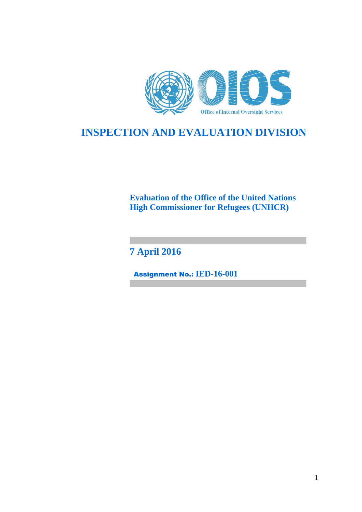

# **INSPECTION AND EVALUATION DIVISION**

**Evaluation of the Office of the United Nations High Commissioner for Refugees (UNHCR)**

**7 April 2016**

Assignment No.: **IED-16-001**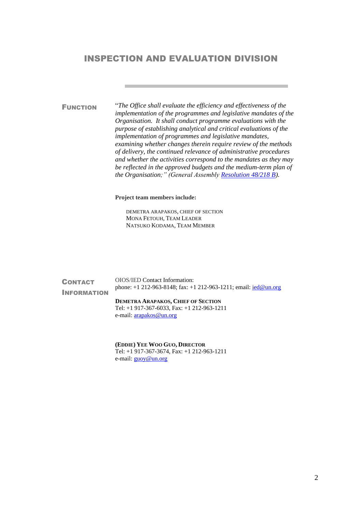## INSPECTION AND EVALUATION DIVISION

FUNCTION "*The Office shall evaluate the efficiency and effectiveness of the implementation of the programmes and legislative mandates of the Organisation. It shall conduct programme evaluations with the purpose of establishing analytical and critical evaluations of the implementation of programmes and legislative mandates, examining whether changes therein require review of the methods of delivery, the continued relevance of administrative procedures and whether the activities correspond to the mandates as they may be reflected in the approved budgets and the medium-term plan of the Organisation;" (General Assembly [Resolution 48/218 B\)](http://doc.un.org/DocBox/docbox.nsf/GetAll?OpenAgent&DS=A/RES/48/218B).*

**Project team members include:**

DEMETRA ARAPAKOS, CHIEF OF SECTION MONA FETOUH, TEAM LEADER NATSUKO KODAMA, TEAM MEMBER

| <b>CONTACT</b>     | <b>OIOS/IED Contact Information:</b>                                                                                   |
|--------------------|------------------------------------------------------------------------------------------------------------------------|
| <b>INFORMATION</b> | phone: $+1$ 212-963-8148; fax: $+1$ 212-963-1211; email: $\frac{\text{ied}@\text{un.org}}{\text{led}@\text{un.org}}$   |
|                    | <b>DEMETRA ARAPAKOS, CHIEF OF SECTION</b><br>Tel: $+1$ 917-367-6033, Fax: $+1$ 212-963-1211<br>e-mail: arapakos@un.org |

**(EDDIE) YEE WOO GUO, DIRECTOR**  Tel: +1 917-367-3674, Fax: +1 212-963-1211 e-mail: **guoy@un.org**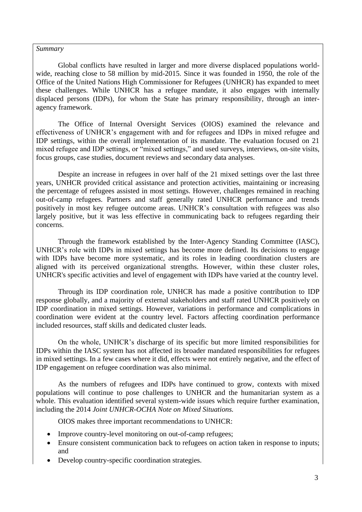#### *Summary*

Global conflicts have resulted in larger and more diverse displaced populations worldwide, reaching close to 58 million by mid-2015. Since it was founded in 1950, the role of the Office of the United Nations High Commissioner for Refugees (UNHCR) has expanded to meet these challenges. While UNHCR has a refugee mandate, it also engages with internally displaced persons (IDPs), for whom the State has primary responsibility, through an interagency framework.

The Office of Internal Oversight Services (OIOS) examined the relevance and effectiveness of UNHCR's engagement with and for refugees and IDPs in mixed refugee and IDP settings, within the overall implementation of its mandate. The evaluation focused on 21 mixed refugee and IDP settings, or "mixed settings," and used surveys, interviews, on-site visits, focus groups, case studies, document reviews and secondary data analyses.

Despite an increase in refugees in over half of the 21 mixed settings over the last three years, UNHCR provided critical assistance and protection activities, maintaining or increasing the percentage of refugees assisted in most settings. However, challenges remained in reaching out-of-camp refugees. Partners and staff generally rated UNHCR performance and trends positively in most key refugee outcome areas. UNHCR's consultation with refugees was also largely positive, but it was less effective in communicating back to refugees regarding their concerns.

Through the framework established by the Inter-Agency Standing Committee (IASC), UNHCR's role with IDPs in mixed settings has become more defined. Its decisions to engage with IDPs have become more systematic, and its roles in leading coordination clusters are aligned with its perceived organizational strengths. However, within these cluster roles, UNHCR's specific activities and level of engagement with IDPs have varied at the country level.

Through its IDP coordination role, UNHCR has made a positive contribution to IDP response globally, and a majority of external stakeholders and staff rated UNHCR positively on IDP coordination in mixed settings. However, variations in performance and complications in coordination were evident at the country level. Factors affecting coordination performance included resources, staff skills and dedicated cluster leads.

On the whole, UNHCR's discharge of its specific but more limited responsibilities for IDPs within the IASC system has not affected its broader mandated responsibilities for refugees in mixed settings. In a few cases where it did, effects were not entirely negative, and the effect of IDP engagement on refugee coordination was also minimal.

As the numbers of refugees and IDPs have continued to grow, contexts with mixed populations will continue to pose challenges to UNHCR and the humanitarian system as a whole. This evaluation identified several system-wide issues which require further examination, including the 2014 *Joint UNHCR-OCHA Note on Mixed Situations.*

OIOS makes three important recommendations to UNHCR:

- Improve country-level monitoring on out-of-camp refugees;
- Ensure consistent communication back to refugees on action taken in response to inputs; and
- Develop country-specific coordination strategies.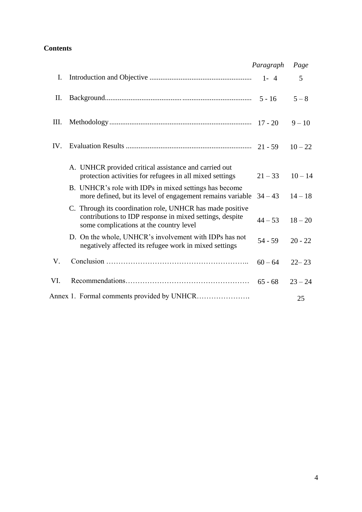# **Contents**

|     |                                                                                                                                                                  | Paragraph | Page      |  |
|-----|------------------------------------------------------------------------------------------------------------------------------------------------------------------|-----------|-----------|--|
| I.  |                                                                                                                                                                  |           | 5         |  |
| Π.  |                                                                                                                                                                  |           | $5 - 8$   |  |
| Ш.  |                                                                                                                                                                  |           | $9 - 10$  |  |
| IV. |                                                                                                                                                                  |           | $10 - 22$ |  |
|     | A. UNHCR provided critical assistance and carried out<br>protection activities for refugees in all mixed settings                                                | $21 - 33$ | $10 - 14$ |  |
|     | B. UNHCR's role with IDPs in mixed settings has become<br>more defined, but its level of engagement remains variable                                             | $34 - 43$ | $14 - 18$ |  |
|     | C. Through its coordination role, UNHCR has made positive<br>contributions to IDP response in mixed settings, despite<br>some complications at the country level | $44 - 53$ | $18 - 20$ |  |
|     | D. On the whole, UNHCR's involvement with IDPs has not<br>negatively affected its refugee work in mixed settings                                                 | $54 - 59$ | $20 - 22$ |  |
| V.  |                                                                                                                                                                  | $60 - 64$ | $22 - 23$ |  |
| VI. |                                                                                                                                                                  |           | $23 - 24$ |  |
|     |                                                                                                                                                                  |           | 25        |  |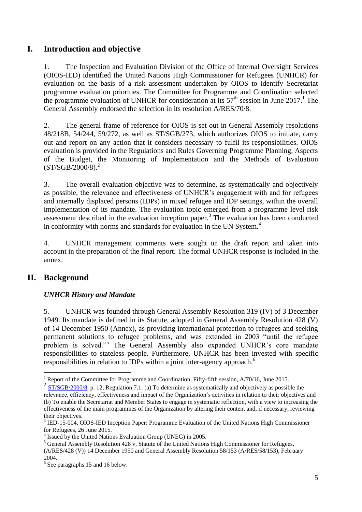# **I. Introduction and objective**

1. The Inspection and Evaluation Division of the Office of Internal Oversight Services (OIOS-IED) identified the United Nations High Commissioner for Refugees (UNHCR) for evaluation on the basis of a risk assessment undertaken by OIOS to identify Secretariat programme evaluation priorities. The Committee for Programme and Coordination selected the programme evaluation of UNHCR for consideration at its  $57<sup>th</sup>$  session in June 2017.<sup>1</sup> The General Assembly endorsed the selection in its resolution A/RES/70/8.

2. The general frame of reference for OIOS is set out in General Assembly resolutions 48/218B, 54/244, 59/272, as well as ST/SGB/273, which authorizes OIOS to initiate, carry out and report on any action that it considers necessary to fulfil its responsibilities. OIOS evaluation is provided in the Regulations and Rules Governing Programme Planning, Aspects of the Budget, the Monitoring of Implementation and the Methods of Evaluation  $(ST/SGB/2000/8)<sup>2</sup>$ 

3. The overall evaluation objective was to determine, as systematically and objectively as possible, the relevance and effectiveness of UNHCR's engagement with and for refugees and internally displaced persons (IDPs) in mixed refugee and IDP settings, within the overall implementation of its mandate. The evaluation topic emerged from a programme level risk assessment described in the evaluation inception paper.<sup>3</sup> The evaluation has been conducted in conformity with norms and standards for evaluation in the UN System.<sup>4</sup>

4. UNHCR management comments were sought on the draft report and taken into account in the preparation of the final report. The formal UNHCR response is included in the annex.

# **II. Background**

<u>.</u>

## *UNHCR History and Mandate*

5. UNHCR was founded through General Assembly Resolution 319 (IV) of 3 December 1949. Its mandate is defined in its Statute, adopted in General Assembly Resolution 428 (V) of 14 December 1950 (Annex), as providing international protection to refugees and seeking permanent solutions to refugee problems, and was extended in 2003 "until the refugee problem is solved."<sup>5</sup> The General Assembly also expanded UNHCR's core mandate responsibilities to stateless people. Furthermore, UNHCR has been invested with specific responsibilities in relation to IDPs within a joint inter-agency approach.<sup>6</sup>

<sup>&</sup>lt;sup>1</sup> Report of the Committee for Programme and Coordination, Fifty-fifth session, A/70/16, June 2015.

 $\frac{2 \text{ ST/SGB}/2000}{8}$ , p. 12, Regulation 7.1: (a) To determine as systematically and objectively as possible the relevance, efficiency, effectiveness and impact of the Organization's activities in relation to their objectives and (b) To enable the Secretariat and Member States to engage in systematic reflection, with a view to increasing the effectiveness of the main programmes of the Organization by altering their content and, if necessary, reviewing their objectives.

<sup>&</sup>lt;sup>3</sup> IED-15-004, OIOS-IED Inception Paper: Programme Evaluation of the United Nations High Commissioner for Refugees, 26 June 2015.

<sup>4</sup> Issued by the United Nations Evaluation Group (UNEG) in 2005.

<sup>&</sup>lt;sup>5</sup> General Assembly Resolution 428 v, Statute of the United Nations High Commissioner for Refugees,

<sup>(</sup>A/RES/428 (V)) 14 December 1950 and General Assembly Resolution 58/153 (A/RES/58/153), February 2004.

<sup>6</sup> See paragraphs 15 and 16 below.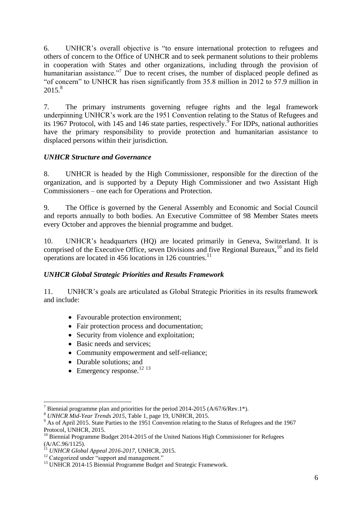6. UNHCR's overall objective is "to ensure international protection to refugees and others of concern to the Office of UNHCR and to seek permanent solutions to their problems in cooperation with States and other organizations, including through the provision of humanitarian assistance."<sup>7</sup> Due to recent crises, the number of displaced people defined as "of concern" to UNHCR has risen significantly from 35.8 million in 2012 to 57.9 million in 2015. 8

7. The primary instruments governing refugee rights and the legal framework underpinning UNHCR's work are the 1951 Convention relating to the Status of Refugees and its 1967 Protocol, with 145 and 146 state parties, respectively.  $\overline{9}$  For IDPs, national authorities have the primary responsibility to provide protection and humanitarian assistance to displaced persons within their jurisdiction.

## *UNHCR Structure and Governance*

8. UNHCR is headed by the High Commissioner, responsible for the direction of the organization, and is supported by a Deputy High Commissioner and two Assistant High Commissioners – one each for Operations and Protection.

9. The Office is governed by the General Assembly and Economic and Social Council and reports annually to both bodies. An Executive Committee of 98 Member States meets every October and approves the biennial programme and budget.

10. UNHCR's headquarters (HQ) are located primarily in Geneva, Switzerland. It is comprised of the Executive Office, seven Divisions and five Regional Bureaux,<sup>10</sup> and its field operations are located in 456 locations in 126 countries.<sup>11</sup>

## *UNHCR Global Strategic Priorities and Results Framework*

11. UNHCR's goals are articulated as Global Strategic Priorities in its results framework and include:

- Favourable protection environment;
- Fair protection process and documentation;
- Security from violence and exploitation;
- Basic needs and services:
- Community empowerment and self-reliance;
- Durable solutions; and
- $\bullet$  Emergency response.<sup>12 13</sup>

<sup>&</sup>lt;u>.</u> Biennial programme plan and priorities for the period 2014-2015 (A/67/6/Rev.1\*).

<sup>8</sup> *UNHCR Mid-Year Trends 2015*, Table 1, page 19, UNHCR, 2015.

<sup>&</sup>lt;sup>9</sup> As of April 2015. State Parties to the 1951 Convention relating to the Status of Refugees and the 1967 Protocol, UNHCR, 2015.

 $10$  Biennial Programme Budget 2014-2015 of the United Nations High Commissioner for Refugees (A/AC.96/1125).

<sup>11</sup> *UNHCR Global Appeal 2016-2017*, UNHCR, 2015.

<sup>&</sup>lt;sup>12</sup> Categorized under "support and management."

<sup>&</sup>lt;sup>13</sup> UNHCR 2014-15 Biennial Programme Budget and Strategic Framework.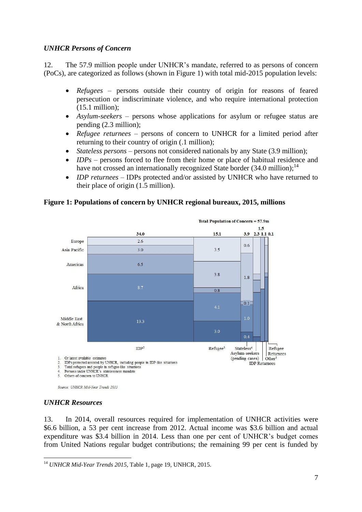### *UNHCR Persons of Concern*

12. The 57.9 million people under UNHCR's mandate, referred to as persons of concern (PoCs), are categorized as follows (shown in Figure 1) with total mid-2015 population levels:

- *Refugees* persons outside their country of origin for reasons of feared persecution or indiscriminate violence, and who require international protection (15.1 million);
- *Asylum-seekers –* persons whose applications for asylum or refugee status are pending (2.3 million);
- *Refugee returnees* persons of concern to UNHCR for a limited period after returning to their country of origin (.1 million);
- *Stateless persons* persons not considered nationals by any State (3.9 million);
- *IDPs* persons forced to flee from their home or place of habitual residence and have not crossed an internationally recognized State border (34.0 million);<sup>14</sup>
- *IDP returnees*  IDPs protected and/or assisted by UNHCR who have returned to their place of origin (1.5 million).

## **Figure 1: Populations of concern by UNHCR regional bureaux, 2015, millions**



Source: UNHCR Mid-Year Trends 2015

### *UNHCR Resources*

13. In 2014, overall resources required for implementation of UNHCR activities were \$6.6 billion, a 53 per cent increase from 2012. Actual income was \$3.6 billion and actual expenditure was \$3.4 billion in 2014. Less than one per cent of UNHCR's budget comes from United Nations regular budget contributions; the remaining 99 per cent is funded by

<sup>1</sup> <sup>14</sup> *UNHCR Mid-Year Trends 2015*, Table 1, page 19, UNHCR, 2015.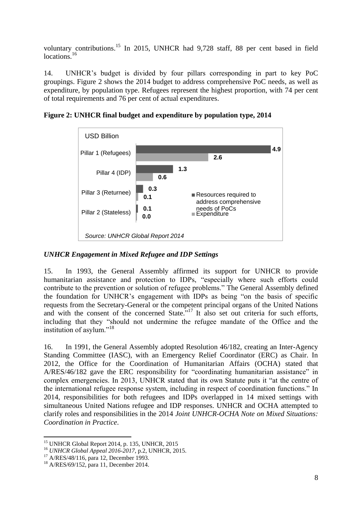voluntary contributions.<sup>15</sup> In 2015, UNHCR had 9,728 staff, 88 per cent based in field locations<sup>16</sup>

14. UNHCR's budget is divided by four pillars corresponding in part to key PoC groupings. Figure 2 shows the 2014 budget to address comprehensive PoC needs, as well as expenditure, by population type. Refugees represent the highest proportion, with 74 per cent of total requirements and 76 per cent of actual expenditures.



**Figure 2: UNHCR final budget and expenditure by population type, 2014** 

## *UNHCR Engagement in Mixed Refugee and IDP Settings*

15. In 1993, the General Assembly affirmed its support for UNHCR to provide humanitarian assistance and protection to IDPs, "especially where such efforts could contribute to the prevention or solution of refugee problems." The General Assembly defined the foundation for UNHCR's engagement with IDPs as being "on the basis of specific requests from the Secretary-General or the competent principal organs of the United Nations and with the consent of the concerned State.<sup>"17</sup> It also set out criteria for such efforts, including that they "should not undermine the refugee mandate of the Office and the institution of asylum."<sup>18</sup>

16. In 1991, the General Assembly adopted Resolution 46/182, creating an Inter-Agency Standing Committee (IASC), with an Emergency Relief Coordinator (ERC) as Chair. In 2012, the Office for the Coordination of Humanitarian Affairs (OCHA) stated that A/RES/46/182 gave the ERC responsibility for "coordinating humanitarian assistance" in complex emergencies. In 2013, UNHCR stated that its own Statute puts it "at the centre of the international refugee response system, including in respect of coordination functions." In 2014, responsibilities for both refugees and IDPs overlapped in 14 mixed settings with simultaneous United Nations refugee and IDP responses. UNHCR and OCHA attempted to clarify roles and responsibilities in the 2014 *Joint UNHCR-OCHA Note on Mixed Situations: Coordination in Practice*.

1

<sup>&</sup>lt;sup>15</sup> UNHCR Global Report 2014, p. 135, UNHCR, 2015

<sup>16</sup> *UNHCR Global Appeal 2016-2017*, p.2, UNHCR, 2015.

<sup>&</sup>lt;sup>17</sup> A/RES/48/116, para 12, December 1993.

<sup>18</sup> A/RES/69/152, para 11, December 2014.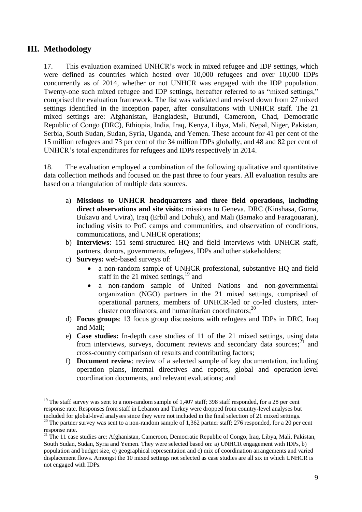# **III. Methodology**

1

17. This evaluation examined UNHCR's work in mixed refugee and IDP settings, which were defined as countries which hosted over 10,000 refugees and over 10,000 IDPs concurrently as of 2014, whether or not UNHCR was engaged with the IDP population. Twenty-one such mixed refugee and IDP settings, hereafter referred to as "mixed settings," comprised the evaluation framework. The list was validated and revised down from 27 mixed settings identified in the inception paper, after consultations with UNHCR staff. The 21 mixed settings are: Afghanistan, Bangladesh, Burundi, Cameroon, Chad, Democratic Republic of Congo (DRC), Ethiopia, India, Iraq, Kenya, Libya, Mali, Nepal, Niger, Pakistan, Serbia, South Sudan, Sudan, Syria, Uganda, and Yemen. These account for 41 per cent of the 15 million refugees and 73 per cent of the 34 million IDPs globally, and 48 and 82 per cent of UNHCR's total expenditures for refugees and IDPs respectively in 2014.

18. The evaluation employed a combination of the following qualitative and quantitative data collection methods and focused on the past three to four years. All evaluation results are based on a triangulation of multiple data sources.

- a) **Missions to UNHCR headquarters and three field operations, including direct observations and site visits:** missions to Geneva, DRC (Kinshasa, Goma, Bukavu and Uvira), Iraq (Erbil and Dohuk), and Mali (Bamako and Faragouaran), including visits to PoC camps and communities, and observation of conditions, communications, and UNHCR operations;
- b) **Interviews**: 151 semi-structured HQ and field interviews with UNHCR staff, partners, donors, governments, refugees, IDPs and other stakeholders;
- c) **Surveys:** web-based surveys of:
	- a non-random sample of UNHCR professional, substantive HQ and field staff in the 21 mixed settings, $^{19}$  and
	- a non-random sample of United Nations and non-governmental organization (NGO) partners in the 21 mixed settings, comprised of operational partners, members of UNHCR-led or co-led clusters, intercluster coordinators, and humanitarian coordinators; 20
- d) **Focus groups**: 13 focus group discussions with refugees and IDPs in DRC, Iraq and Mali;
- e) **Case studies:** In-depth case studies of 11 of the 21 mixed settings, using data from interviews, surveys, document reviews and secondary data sources; $^{21}$  and cross-country comparison of results and contributing factors;
- f) **Document review**: review of a selected sample of key documentation, including operation plans, internal directives and reports, global and operation-level coordination documents, and relevant evaluations; and

 $19$  The staff survey was sent to a non-random sample of 1,407 staff; 398 staff responded, for a 28 per cent response rate. Responses from staff in Lebanon and Turkey were dropped from country-level analyses but included for global-level analyses since they were not included in the final selection of 21 mixed settings.

<sup>&</sup>lt;sup>20</sup> The partner survey was sent to a non-random sample of 1,362 partner staff; 276 responded, for a 20 per cent response rate.

 $^{21}$  The 11 case studies are: Afghanistan, Cameroon, Democratic Republic of Congo, Iraq, Libya, Mali, Pakistan, South Sudan, Sudan, Syria and Yemen. They were selected based on: a) UNHCR engagement with IDPs, b) population and budget size, c) geographical representation and c) mix of coordination arrangements and varied displacement flows. Amongst the 10 mixed settings not selected as case studies are all six in which UNHCR is not engaged with IDPs.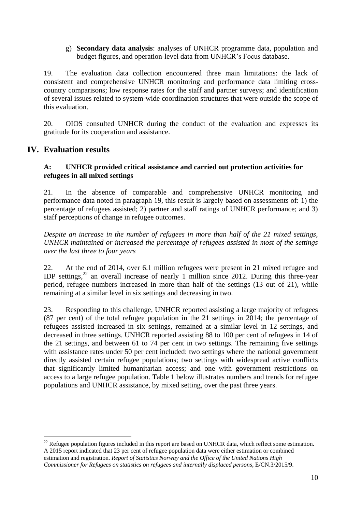#### g) **Secondary data analysis**: analyses of UNHCR programme data, population and budget figures, and operation-level data from UNHCR's Focus database.

19. The evaluation data collection encountered three main limitations: the lack of consistent and comprehensive UNHCR monitoring and performance data limiting crosscountry comparisons; low response rates for the staff and partner surveys; and identification of several issues related to system-wide coordination structures that were outside the scope of this evaluation.

20. OIOS consulted UNHCR during the conduct of the evaluation and expresses its gratitude for its cooperation and assistance.

## **IV. Evaluation results**

1

### **A: UNHCR provided critical assistance and carried out protection activities for refugees in all mixed settings**

21. In the absence of comparable and comprehensive UNHCR monitoring and performance data noted in paragraph 19, this result is largely based on assessments of: 1) the percentage of refugees assisted; 2) partner and staff ratings of UNHCR performance; and 3) staff perceptions of change in refugee outcomes.

*Despite an increase in the number of refugees in more than half of the 21 mixed settings, UNHCR maintained or increased the percentage of refugees assisted in most of the settings over the last three to four years* 

22. At the end of 2014, over 6.1 million refugees were present in 21 mixed refugee and IDP settings,<sup>22</sup> an overall increase of nearly 1 million since 2012. During this three-year period, refugee numbers increased in more than half of the settings (13 out of 21), while remaining at a similar level in six settings and decreasing in two.

23. Responding to this challenge, UNHCR reported assisting a large majority of refugees (87 per cent) of the total refugee population in the 21 settings in 2014; the percentage of refugees assisted increased in six settings, remained at a similar level in 12 settings, and decreased in three settings. UNHCR reported assisting 88 to 100 per cent of refugees in 14 of the 21 settings, and between 61 to 74 per cent in two settings. The remaining five settings with assistance rates under 50 per cent included: two settings where the national government directly assisted certain refugee populations; two settings with widespread active conflicts that significantly limited humanitarian access; and one with government restrictions on access to a large refugee population. Table 1 below illustrates numbers and trends for refugee populations and UNHCR assistance, by mixed setting, over the past three years.

 $22$  Refugee population figures included in this report are based on UNHCR data, which reflect some estimation. A 2015 report indicated that 23 per cent of refugee population data were either estimation or combined estimation and registration. *Report of Statistics Norway and the Office of the United Nations High Commissioner for Refugees on statistics on refugees and internally displaced persons*, E/CN.3/2015/9.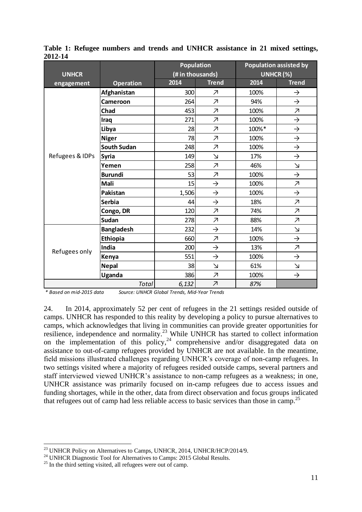|                 |                    | <b>Population</b> |                          |           | <b>Population assisted by</b> |
|-----------------|--------------------|-------------------|--------------------------|-----------|-------------------------------|
| <b>UNHCR</b>    |                    | (# in thousands)  |                          | UNHCR (%) |                               |
| engagement      | <b>Operation</b>   | 2014              | <b>Trend</b>             | 2014      | <b>Trend</b>                  |
|                 | Afghanistan        | 300               | $\overline{\mathcal{A}}$ | 100%      | $\rightarrow$                 |
|                 | Cameroon           | 264               | $\overline{\mathcal{A}}$ | 94%       | $\rightarrow$                 |
|                 | Chad               | 453               | $\overline{\mathcal{A}}$ | 100%      | $\overline{\mathcal{A}}$      |
|                 | Iraq               | 271               | $\overline{\mathcal{A}}$ | 100%      | $\rightarrow$                 |
|                 | Libya              | 28                | $\overline{\mathcal{A}}$ | 100%*     | $\rightarrow$                 |
|                 | <b>Niger</b>       | 78                | $\overline{\mathcal{A}}$ | 100%      | $\rightarrow$                 |
|                 | <b>South Sudan</b> | 248               | $\overline{\mathcal{A}}$ | 100%      | $\rightarrow$                 |
| Refugees & IDPs | <b>Syria</b>       | 149               | $\Delta$                 | 17%       | $\rightarrow$                 |
|                 | Yemen              | 258               | $\overline{\mathcal{A}}$ | 46%       | $\overline{\mathsf{M}}$       |
|                 | <b>Burundi</b>     | 53                | $\overline{\mathcal{A}}$ | 100%      | $\rightarrow$                 |
|                 | Mali               | 15                | $\rightarrow$            | 100%      | $\overline{\mathcal{A}}$      |
|                 | Pakistan           | 1,506             | $\rightarrow$            | 100%      | $\rightarrow$                 |
|                 | <b>Serbia</b>      | 44                | $\rightarrow$            | 18%       | $\overline{\mathcal{A}}$      |
|                 | Congo, DR          | 120               | $\overline{\mathcal{A}}$ | 74%       | $\overline{\mathcal{A}}$      |
|                 | <b>Sudan</b>       | 278               | $\overline{\mathcal{A}}$ | 88%       | $\overline{\mathcal{A}}$      |
| Refugees only   | <b>Bangladesh</b>  | 232               | $\rightarrow$            | 14%       | $\Delta$                      |
|                 | Ethiopia           | 660               | $\overline{\mathcal{A}}$ | 100%      | $\rightarrow$                 |
|                 | India              | 200               | $\rightarrow$            | 13%       | $\overline{\mathcal{A}}$      |
|                 | Kenya              | 551               | $\rightarrow$            | 100%      | $\rightarrow$                 |
|                 | <b>Nepal</b>       | 38                | $\Delta$                 | 61%       | $\Delta$                      |
|                 | <b>Uganda</b>      | 386               | $\overline{\mathcal{A}}$ | 100%      | $\rightarrow$                 |
|                 | Total              | 6,132             | $\overline{\mathcal{A}}$ | 87%       |                               |

**Table 1: Refugee numbers and trends and UNHCR assistance in 21 mixed settings, 2012-14**

*\* Based on mid-2015 data Source: UNHCR Global Trends, Mid-Year Trends* 

24. In 2014, approximately 52 per cent of refugees in the 21 settings resided outside of camps. UNHCR has responded to this reality by developing a policy to pursue alternatives to camps, which acknowledges that living in communities can provide greater opportunities for resilience, independence and normality.<sup>23</sup> While UNHCR has started to collect information on the implementation of this policy,<sup>24</sup> comprehensive and/or disaggregated data on assistance to out-of-camp refugees provided by UNHCR are not available. In the meantime, field missions illustrated challenges regarding UNHCR's coverage of non-camp refugees. In two settings visited where a majority of refugees resided outside camps, several partners and staff interviewed viewed UNHCR's assistance to non-camp refugees as a weakness; in one, UNHCR assistance was primarily focused on in-camp refugees due to access issues and funding shortages, while in the other, data from direct observation and focus groups indicated that refugees out of camp had less reliable access to basic services than those in camp.<sup>25</sup>

<u>.</u>

<sup>&</sup>lt;sup>23</sup> UNHCR Policy on Alternatives to Camps, UNHCR, 2014, UNHCR/HCP/2014/9.

<sup>&</sup>lt;sup>24</sup> UNHCR Diagnostic Tool for Alternatives to Camps: 2015 Global Results.

<sup>&</sup>lt;sup>25</sup> In the third setting visited, all refugees were out of camp.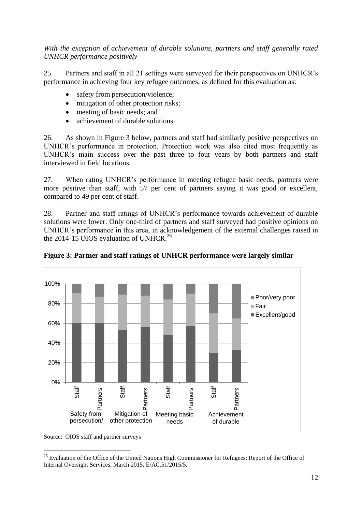*With the exception of achievement of durable solutions, partners and staff generally rated UNHCR performance positively*

25. Partners and staff in all 21 settings were surveyed for their perspectives on UNHCR's performance in achieving four key refugee outcomes, as defined for this evaluation as:

- safety from persecution/violence;
- mitigation of other protection risks;
- meeting of basic needs; and
- achievement of durable solutions.

26. As shown in Figure 3 below, partners and staff had similarly positive perspectives on UNHCR's performance in protection. Protection work was also cited most frequently as UNHCR's main success over the past three to four years by both partners and staff interviewed in field locations.

27. When rating UNHCR's performance in meeting refugee basic needs, partners were more positive than staff, with 57 per cent of partners saying it was good or excellent, compared to 49 per cent of staff.

28. Partner and staff ratings of UNHCR's performance towards achievement of durable solutions were lower. Only one-third of partners and staff surveyed had positive opinions on UNHCR's performance in this area, in acknowledgement of the external challenges raised in the 2014-15 OIOS evaluation of UNHCR.<sup>26</sup>



**Figure 3: Partner and staff ratings of UNHCR performance were largely similar**

Source: OIOS staff and partner surveys

<sup>1</sup> <sup>26</sup> Evaluation of the Office of the United Nations High Commissioner for Refugees: Report of the Office of Internal Oversight Services, March 2015, E/AC.51/2015/5.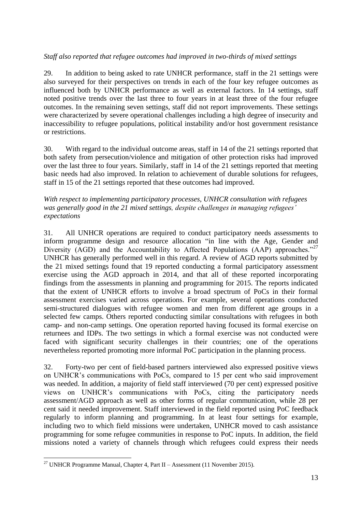### *Staff also reported that refugee outcomes had improved in two-thirds of mixed settings*

29. In addition to being asked to rate UNHCR performance, staff in the 21 settings were also surveyed for their perspectives on trends in each of the four key refugee outcomes as influenced both by UNHCR performance as well as external factors. In 14 settings, staff noted positive trends over the last three to four years in at least three of the four refugee outcomes. In the remaining seven settings, staff did not report improvements. These settings were characterized by severe operational challenges including a high degree of insecurity and inaccessibility to refugee populations, political instability and/or host government resistance or restrictions.

30. With regard to the individual outcome areas, staff in 14 of the 21 settings reported that both safety from persecution/violence and mitigation of other protection risks had improved over the last three to four years. Similarly, staff in 14 of the 21 settings reported that meeting basic needs had also improved. In relation to achievement of durable solutions for refugees, staff in 15 of the 21 settings reported that these outcomes had improved.

#### *With respect to implementing participatory processes, UNHCR consultation with refugees was generally good in the 21 mixed settings, despite challenges in managing refugees' expectations*

31. All UNHCR operations are required to conduct participatory needs assessments to inform programme design and resource allocation "in line with the Age, Gender and Diversity (AGD) and the Accountability to Affected Populations (AAP) approaches."<sup>27</sup> UNHCR has generally performed well in this regard. A review of AGD reports submitted by the 21 mixed settings found that 19 reported conducting a formal participatory assessment exercise using the AGD approach in 2014, and that all of these reported incorporating findings from the assessments in planning and programming for 2015. The reports indicated that the extent of UNHCR efforts to involve a broad spectrum of PoCs in their formal assessment exercises varied across operations. For example, several operations conducted semi-structured dialogues with refugee women and men from different age groups in a selected few camps. Others reported conducting similar consultations with refugees in both camp- and non-camp settings. One operation reported having focused its formal exercise on returnees and IDPs. The two settings in which a formal exercise was not conducted were faced with significant security challenges in their countries; one of the operations nevertheless reported promoting more informal PoC participation in the planning process.

32. Forty-two per cent of field-based partners interviewed also expressed positive views on UNHCR's communications with PoCs, compared to 15 per cent who said improvement was needed. In addition, a majority of field staff interviewed (70 per cent) expressed positive views on UNHCR's communications with PoCs, citing the participatory needs assessment/AGD approach as well as other forms of regular communication, while 28 per cent said it needed improvement. Staff interviewed in the field reported using PoC feedback regularly to inform planning and programming. In at least four settings for example, including two to which field missions were undertaken, UNHCR moved to cash assistance programming for some refugee communities in response to PoC inputs. In addition, the field missions noted a variety of channels through which refugees could express their needs

<sup>1</sup> <sup>27</sup> UNHCR Programme Manual, Chapter 4, Part II – Assessment (11 November 2015).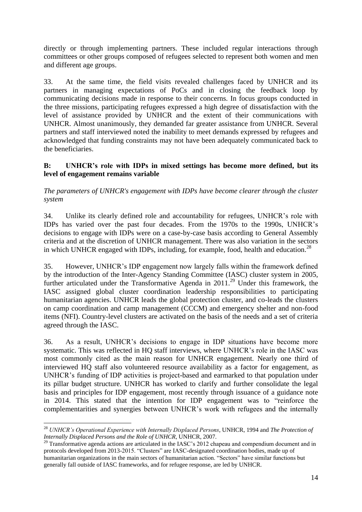directly or through implementing partners. These included regular interactions through committees or other groups composed of refugees selected to represent both women and men and different age groups.

33. At the same time, the field visits revealed challenges faced by UNHCR and its partners in managing expectations of PoCs and in closing the feedback loop by communicating decisions made in response to their concerns. In focus groups conducted in the three missions, participating refugees expressed a high degree of dissatisfaction with the level of assistance provided by UNHCR and the extent of their communications with UNHCR. Almost unanimously, they demanded far greater assistance from UNHCR. Several partners and staff interviewed noted the inability to meet demands expressed by refugees and acknowledged that funding constraints may not have been adequately communicated back to the beneficiaries.

### **B: UNHCR's role with IDPs in mixed settings has become more defined, but its level of engagement remains variable**

*The parameters of UNHCR's engagement with IDPs have become clearer through the cluster system* 

34. Unlike its clearly defined role and accountability for refugees, UNHCR's role with IDPs has varied over the past four decades. From the 1970s to the 1990s, UNHCR's decisions to engage with IDPs were on a case-by-case basis according to General Assembly criteria and at the discretion of UNHCR management. There was also variation in the sectors in which UNHCR engaged with IDPs, including, for example, food, health and education.<sup>28</sup>

35. However, UNHCR's IDP engagement now largely falls within the framework defined by the introduction of the Inter-Agency Standing Committee (IASC) cluster system in 2005, further articulated under the Transformative Agenda in 2011.<sup>29</sup> Under this framework, the IASC assigned global cluster coordination leadership responsibilities to participating humanitarian agencies. UNHCR leads the global protection cluster, and co-leads the clusters on camp coordination and camp management (CCCM) and emergency shelter and non-food items (NFI). Country-level clusters are activated on the basis of the needs and a set of criteria agreed through the IASC.

36. As a result, UNHCR's decisions to engage in IDP situations have become more systematic. This was reflected in HQ staff interviews, where UNHCR's role in the IASC was most commonly cited as the main reason for UNHCR engagement. Nearly one third of interviewed HQ staff also volunteered resource availability as a factor for engagement, as UNHCR's funding of IDP activities is project-based and earmarked to that population under its pillar budget structure. UNHCR has worked to clarify and further consolidate the legal basis and principles for IDP engagement, most recently through issuance of a guidance note in 2014. This stated that the intention for IDP engagement was to "reinforce the complementarities and synergies between UNHCR's work with refugees and the internally

<u>.</u>

<sup>28</sup> *UNHCR's Operational Experience with Internally Displaced Persons*, UNHCR, 1994 and *The Protection of Internally Displaced Persons and the Role of UNHCR*, UNHCR, 2007.

<sup>&</sup>lt;sup>29</sup> Transformative agenda actions are articulated in the IASC's 2012 chapeau and compendium document and in protocols developed from 2013-2015. "Clusters" are IASC-designated coordination bodies, made up of humanitarian organizations in the main sectors of humanitarian action. "Sectors" have similar functions but generally fall outside of IASC frameworks, and for refugee response, are led by UNHCR.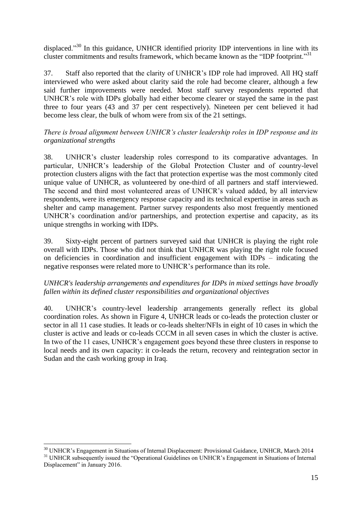displaced."<sup>30</sup> In this guidance, UNHCR identified priority IDP interventions in line with its cluster commitments and results framework, which became known as the "IDP footprint."<sup>31</sup>

37. Staff also reported that the clarity of UNHCR's IDP role had improved. All HQ staff interviewed who were asked about clarity said the role had become clearer, although a few said further improvements were needed. Most staff survey respondents reported that UNHCR's role with IDPs globally had either become clearer or stayed the same in the past three to four years (43 and 37 per cent respectively). Nineteen per cent believed it had become less clear, the bulk of whom were from six of the 21 settings.

### *There is broad alignment between UNHCR's cluster leadership roles in IDP response and its organizational strengths*

38. UNHCR's cluster leadership roles correspond to its comparative advantages. In particular, UNHCR's leadership of the Global Protection Cluster and of country-level protection clusters aligns with the fact that protection expertise was the most commonly cited unique value of UNHCR, as volunteered by one-third of all partners and staff interviewed. The second and third most volunteered areas of UNHCR's valued added, by all interview respondents, were its emergency response capacity and its technical expertise in areas such as shelter and camp management. Partner survey respondents also most frequently mentioned UNHCR's coordination and/or partnerships, and protection expertise and capacity, as its unique strengths in working with IDPs.

39. Sixty-eight percent of partners surveyed said that UNHCR is playing the right role overall with IDPs. Those who did not think that UNHCR was playing the right role focused on deficiencies in coordination and insufficient engagement with IDPs – indicating the negative responses were related more to UNHCR's performance than its role.

## *UNHCR's leadership arrangements and expenditures for IDPs in mixed settings have broadly fallen within its defined cluster responsibilities and organizational objectives*

40. UNHCR's country-level leadership arrangements generally reflect its global coordination roles. As shown in Figure 4, UNHCR leads or co-leads the protection cluster or sector in all 11 case studies. It leads or co-leads shelter/NFIs in eight of 10 cases in which the cluster is active and leads or co-leads CCCM in all seven cases in which the cluster is active. In two of the 11 cases, UNHCR's engagement goes beyond these three clusters in response to local needs and its own capacity: it co-leads the return, recovery and reintegration sector in Sudan and the cash working group in Iraq.

<u>.</u>

<sup>&</sup>lt;sup>30</sup> UNHCR's Engagement in Situations of Internal Displacement: Provisional Guidance, UNHCR, March 2014 <sup>31</sup> UNHCR subsequently issued the "Operational Guidelines on UNHCR's Engagement in Situations of Internal Displacement" in January 2016.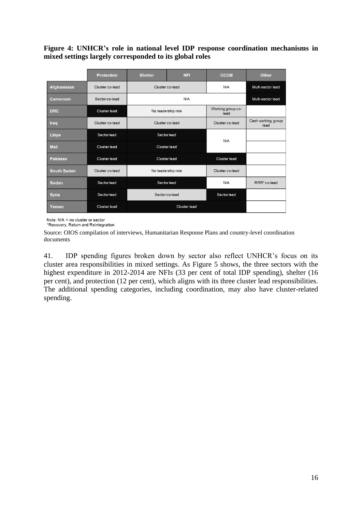**Figure 4: UNHCR's role in national level IDP response coordination mechanisms in mixed settings largely corresponded to its global roles**

|                    | <b>Protection</b> | <b>Shelter</b>      | <b>NFI</b>     | <b>CCCM</b>               | <b>Other</b>               |
|--------------------|-------------------|---------------------|----------------|---------------------------|----------------------------|
| Afghanistan        | Cluster co-lead   | Cluster co-lead     |                | N/A                       | Multi-sector lead          |
| Cameroon           | Sector co-lead    | N/A                 |                |                           | Multi-sector lead          |
| <b>DRC</b>         | Cluster lead      | No leadership role  |                | Working group co-<br>lead |                            |
| Iraq               | Cluster co-lead   | Cluster co-lead     |                | Cluster co-lead           | Cash working group<br>lead |
| Libya              | Sector lead       | Sector lead         |                | N/A                       |                            |
| <b>Mali</b>        | Cluster lead      |                     | Cluster lead   |                           |                            |
| <b>Pakistan</b>    | Cluster lead      | <b>Cluster lead</b> |                | Cluster lead              |                            |
| <b>South Sudan</b> | Cluster co-lead   | No leadership role  |                | Cluster co-lead           |                            |
| <b>Sudan</b>       | Sector lead       | Sector lead         |                | N/A                       | RRR* co-lead               |
| <b>Syria</b>       | Sector lead       |                     | Sector co-lead | Sector lead               |                            |
| Yemen              | Cluster lead      | Cluster lead        |                |                           |                            |

Note: N/A = no cluster or sector

\*Recovery, Return and Reintegration

Source: OIOS compilation of interviews, Humanitarian Response Plans and country-level coordination documents

41. IDP spending figures broken down by sector also reflect UNHCR's focus on its cluster area responsibilities in mixed settings. As Figure 5 shows, the three sectors with the highest expenditure in 2012-2014 are NFIs (33 per cent of total IDP spending), shelter (16 per cent), and protection (12 per cent), which aligns with its three cluster lead responsibilities. The additional spending categories, including coordination, may also have cluster-related spending.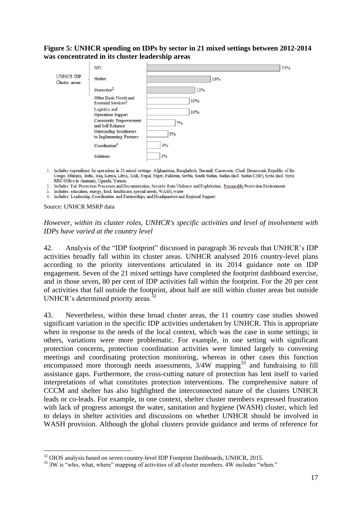#### **Figure 5: UNHCR spending on IDPs by sector in 21 mixed settings between 2012-2014 was concentrated in its cluster leadership areas**

|                            | <b>NFI</b>                                               |     | 33% |
|----------------------------|----------------------------------------------------------|-----|-----|
| UNHCR IDP<br>Cluster areas | Shelter                                                  | 16% |     |
|                            | Protection <sup>2</sup>                                  | 12% |     |
|                            | Other Basic Needs and<br>Essential Services <sup>3</sup> | 10% |     |
|                            | Logistics and<br>Operations Support                      | 10% |     |
|                            | Community Empowerment<br>and Self Reliance               | 7%  |     |
|                            | Outstanding Instalments<br>to Implementing Partners      | 5%  |     |
|                            | Coordination <sup>4</sup>                                | 3%  |     |
|                            | Solutions                                                | 3%  |     |

- 1. Includes expenditure for operations in 21 mixed settings: Afghanistan, Bangladesh, Burundi, Cameroon, Chad, Democratic Republic of the Congo, Ethiopia, India, Iraq, Kenya, Libya, Mali, Nepal, Niger, Pakistan, Serbia, South Sudan, Sudan (incl. Sudan CHP), Syria (incl. Syria RRC Office in Amman), Uganda, Yemen.
- 2. Includes: Fair Protection Processes and Documentation, Security from Violence and Exploitation, Favourable Protection Environment
- 3. Includes: education, energy, food, healthcare, special needs, WASH, water
- 4. Includes: Leadership, Coordination and Partnerships, and Headquarters and Regional Support

Source: UNHCR MSRP data

1

#### *However, within its cluster roles, UNHCR's specific activities and level of involvement with IDPs have varied at the country level*

42. Analysis of the "IDP footprint" discussed in paragraph 36 reveals that UNHCR's IDP activities broadly fall within its cluster areas. UNHCR analysed 2016 country-level plans according to the priority interventions articulated in its 2014 guidance note on IDP engagement. Seven of the 21 mixed settings have completed the footprint dashboard exercise, and in those seven, 80 per cent of IDP activities fall within the footprint. For the 20 per cent of activities that fall outside the footprint, about half are still within cluster areas but outside UNHCR's determined priority areas. $32$ 

43. Nevertheless, within these broad cluster areas, the 11 country case studies showed significant variation in the specific IDP activities undertaken by UNHCR. This is appropriate when in response to the needs of the local context, which was the case in some settings; in others, variations were more problematic. For example, in one setting with significant protection concerns, protection coordination activities were limited largely to convening meetings and coordinating protection monitoring, whereas in other cases this function encompassed more thorough needs assessments,  $3/4W$  mapping<sup>33</sup> and fundraising to fill assistance gaps. Furthermore, the cross-cutting nature of protection has lent itself to varied interpretations of what constitutes protection interventions. The comprehensive nature of CCCM and shelter has also highlighted the interconnected nature of the clusters UNHCR leads or co-leads. For example, in one context, shelter cluster members expressed frustration with lack of progress amongst the water, sanitation and hygiene (WASH) cluster, which led to delays in shelter activities and discussions on whether UNHCR should be involved in WASH provision. Although the global clusters provide guidance and terms of reference for

<sup>&</sup>lt;sup>32</sup> OIOS analysis based on seven country-level IDP Footprint Dashboards, UNHCR, 2015.

<sup>&</sup>lt;sup>33</sup> 3W is "who, what, where" mapping of activities of all cluster members. 4W includes "when."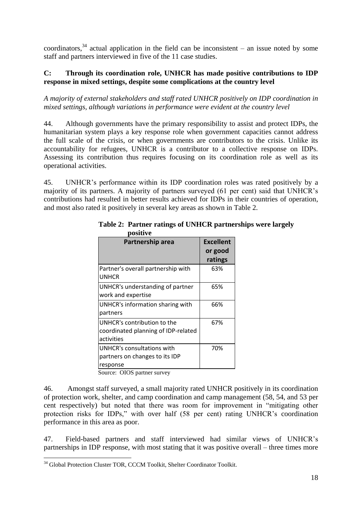coordinators,<sup>34</sup> actual application in the field can be inconsistent – an issue noted by some staff and partners interviewed in five of the 11 case studies.

## **C: Through its coordination role, UNHCR has made positive contributions to IDP response in mixed settings, despite some complications at the country level**

*A majority of external stakeholders and staff rated UNHCR positively on IDP coordination in mixed settings, although variations in performance were evident at the country level*

44. Although governments have the primary responsibility to assist and protect IDPs, the humanitarian system plays a key response role when government capacities cannot address the full scale of the crisis, or when governments are contributors to the crisis. Unlike its accountability for refugees, UNHCR is a contributor to a collective response on IDPs. Assessing its contribution thus requires focusing on its coordination role as well as its operational activities.

45. UNHCR's performance within its IDP coordination roles was rated positively by a majority of its partners. A majority of partners surveyed (61 per cent) said that UNHCR's contributions had resulted in better results achieved for IDPs in their countries of operation, and most also rated it positively in several key areas as shown in Table 2.

| Partnership area                                                                 | <b>Excellent</b><br>or good<br>ratings |
|----------------------------------------------------------------------------------|----------------------------------------|
| Partner's overall partnership with<br><b>UNHCR</b>                               | 63%                                    |
| UNHCR's understanding of partner<br>work and expertise                           | 65%                                    |
| UNHCR's information sharing with<br>partners                                     | 66%                                    |
| UNHCR's contribution to the<br>coordinated planning of IDP-related<br>activities | 67%                                    |
| UNHCR's consultations with<br>partners on changes to its IDP<br>response         | 70%                                    |
| $\mathbf{\tilde{a}}$<br>$\Omega$                                                 |                                        |

 **Table 2: Partner ratings of UNHCR partnerships were largely positive**

Source: OIOS partner survey

46. Amongst staff surveyed, a small majority rated UNHCR positively in its coordination of protection work, shelter, and camp coordination and camp management (58, 54, and 53 per cent respectively) but noted that there was room for improvement in "mitigating other protection risks for IDPs," with over half (58 per cent) rating UNHCR's coordination performance in this area as poor.

47. Field-based partners and staff interviewed had similar views of UNHCR's partnerships in IDP response, with most stating that it was positive overall – three times more

<sup>1</sup> <sup>34</sup> Global Protection Cluster TOR, CCCM Toolkit, Shelter Coordinator Toolkit.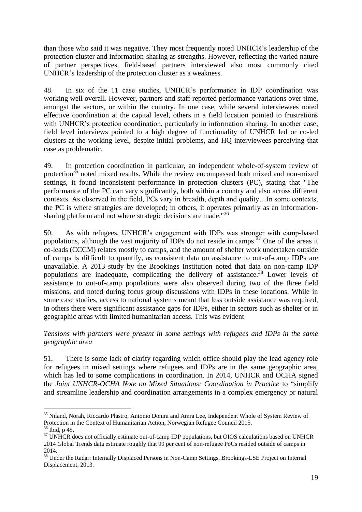than those who said it was negative. They most frequently noted UNHCR's leadership of the protection cluster and information-sharing as strengths. However, reflecting the varied nature of partner perspectives, field-based partners interviewed also most commonly cited UNHCR's leadership of the protection cluster as a weakness.

48. In six of the 11 case studies, UNHCR's performance in IDP coordination was working well overall. However, partners and staff reported performance variations over time, amongst the sectors, or within the country. In one case, while several interviewees noted effective coordination at the capital level, others in a field location pointed to frustrations with UNHCR's protection coordination, particularly in information sharing. In another case, field level interviews pointed to a high degree of functionality of UNHCR led or co-led clusters at the working level, despite initial problems, and HQ interviewees perceiving that case as problematic.

49. In protection coordination in particular, an independent whole-of-system review of protection<sup>35</sup> noted mixed results. While the review encompassed both mixed and non-mixed settings, it found inconsistent performance in protection clusters (PC), stating that "The performance of the PC can vary significantly, both within a country and also across different contexts. As observed in the field, PCs vary in breadth, depth and quality…In some contexts, the PC is where strategies are developed; in others, it operates primarily as an informationsharing platform and not where strategic decisions are made."<sup>36</sup>

50. As with refugees, UNHCR's engagement with IDPs was stronger with camp-based populations, although the vast majority of IDPs do not reside in camps.<sup>37</sup> One of the areas it co-leads (CCCM) relates mostly to camps, and the amount of shelter work undertaken outside of camps is difficult to quantify, as consistent data on assistance to out-of-camp IDPs are unavailable. A 2013 study by the Brookings Institution noted that data on non-camp IDP populations are inadequate, complicating the delivery of assistance.<sup>38</sup> Lower levels of assistance to out-of-camp populations were also observed during two of the three field missions, and noted during focus group discussions with IDPs in these locations. While in some case studies, access to national systems meant that less outside assistance was required, in others there were significant assistance gaps for IDPs, either in sectors such as shelter or in geographic areas with limited humanitarian access. This was evident

### *Tensions with partners were present in some settings with refugees and IDPs in the same geographic area*

51. There is some lack of clarity regarding which office should play the lead agency role for refugees in mixed settings where refugees and IDPs are in the same geographic area, which has led to some complications in coordination. In 2014, UNHCR and OCHA signed the *Joint UNHCR-OCHA Note on Mixed Situations: Coordination in Practice* to "simplify and streamline leadership and coordination arrangements in a complex emergency or natural

<sup>1</sup> <sup>35</sup> Niland, Norah, Riccardo Plastro, Antonio Donini and Amra Lee, Independent Whole of System Review of Protection in the Context of Humanitarian Action, Norwegian Refugee Council 2015.

<sup>36</sup> Ibid, p 45.

<sup>&</sup>lt;sup>37</sup> UNHCR does not officially estimate out-of-camp IDP populations, but OIOS calculations based on UNHCR 2014 Global Trends data estimate roughly that 99 per cent of non-refugee PoCs resided outside of camps in 2014.

<sup>&</sup>lt;sup>38</sup> Under the Radar: Internally Displaced Persons in Non-Camp Settings, Brookings-LSE Project on Internal Displacement, 2013.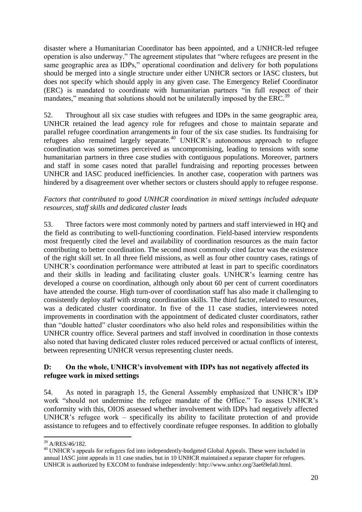disaster where a Humanitarian Coordinator has been appointed, and a UNHCR-led refugee operation is also underway." The agreement stipulates that "where refugees are present in the same geographic area as IDPs," operational coordination and delivery for both populations should be merged into a single structure under either UNHCR sectors or IASC clusters, but does not specify which should apply in any given case. The Emergency Relief Coordinator (ERC) is mandated to coordinate with humanitarian partners "in full respect of their mandates," meaning that solutions should not be unilaterally imposed by the ERC.<sup>39</sup>

52. Throughout all six case studies with refugees and IDPs in the same geographic area, UNHCR retained the lead agency role for refugees and chose to maintain separate and parallel refugee coordination arrangements in four of the six case studies. Its fundraising for refugees also remained largely separate.<sup>40</sup> UNHCR's autonomous approach to refugee coordination was sometimes perceived as uncompromising, leading to tensions with some humanitarian partners in three case studies with contiguous populations. Moreover, partners and staff in some cases noted that parallel fundraising and reporting processes between UNHCR and IASC produced inefficiencies. In another case, cooperation with partners was hindered by a disagreement over whether sectors or clusters should apply to refugee response.

### *Factors that contributed to good UNHCR coordination in mixed settings included adequate resources, staff skills and dedicated cluster leads*

53. Three factors were most commonly noted by partners and staff interviewed in HQ and the field as contributing to well-functioning coordination. Field-based interview respondents most frequently cited the level and availability of coordination resources as the main factor contributing to better coordination. The second most commonly cited factor was the existence of the right skill set. In all three field missions, as well as four other country cases, ratings of UNHCR's coordination performance were attributed at least in part to specific coordinators and their skills in leading and facilitating cluster goals. UNHCR's learning centre has developed a course on coordination, although only about 60 per cent of current coordinators have attended the course. High turn-over of coordination staff has also made it challenging to consistently deploy staff with strong coordination skills. The third factor, related to resources, was a dedicated cluster coordinator. In five of the 11 case studies, interviewees noted improvements in coordination with the appointment of dedicated cluster coordinators, rather than "double hatted" cluster coordinators who also held roles and responsibilities within the UNHCR country office. Several partners and staff involved in coordination in those contexts also noted that having dedicated cluster roles reduced perceived or actual conflicts of interest, between representing UNHCR versus representing cluster needs.

### **D: On the whole, UNHCR's involvement with IDPs has not negatively affected its refugee work in mixed settings**

54. As noted in paragraph 15, the General Assembly emphasized that UNHCR's IDP work "should not undermine the refugee mandate of the Office." To assess UNHCR's conformity with this, OIOS assessed whether involvement with IDPs had negatively affected UNHCR's refugee work – specifically its ability to facilitate protection of and provide assistance to refugees and to effectively coordinate refugee responses. In addition to globally

<sup>1</sup> <sup>39</sup> A/RES/46/182.

<sup>40</sup> UNHCR's appeals for refugees fed into independently-budgeted Global Appeals. These were included in annual IASC joint appeals in 11 case studies, but in 10 UNHCR maintained a separate chapter for refugees. UNHCR is authorized by EXCOM to fundraise independently: http://www.unhcr.org/3ae69efa0.html.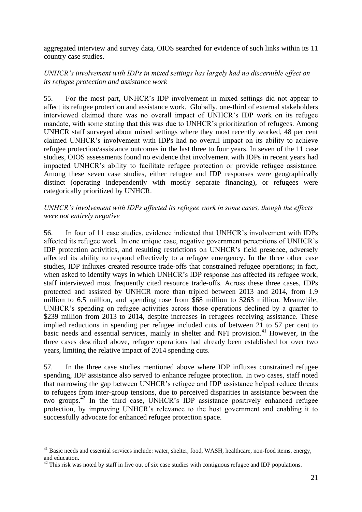aggregated interview and survey data, OIOS searched for evidence of such links within its 11 country case studies.

### *UNHCR's involvement with IDPs in mixed settings has largely had no discernible effect on its refugee protection and assistance work*

55. For the most part, UNHCR's IDP involvement in mixed settings did not appear to affect its refugee protection and assistance work. Globally, one-third of external stakeholders interviewed claimed there was no overall impact of UNHCR's IDP work on its refugee mandate, with some stating that this was due to UNHCR's prioritization of refugees. Among UNHCR staff surveyed about mixed settings where they most recently worked, 48 per cent claimed UNHCR's involvement with IDPs had no overall impact on its ability to achieve refugee protection/assistance outcomes in the last three to four years. In seven of the 11 case studies, OIOS assessments found no evidence that involvement with IDPs in recent years had impacted UNHCR's ability to facilitate refugee protection or provide refugee assistance. Among these seven case studies, either refugee and IDP responses were geographically distinct (operating independently with mostly separate financing), or refugees were categorically prioritized by UNHCR.

#### *UNHCR's involvement with IDPs affected its refugee work in some cases, though the effects were not entirely negative*

56. In four of 11 case studies, evidence indicated that UNHCR's involvement with IDPs affected its refugee work. In one unique case, negative government perceptions of UNHCR's IDP protection activities, and resulting restrictions on UNHCR's field presence, adversely affected its ability to respond effectively to a refugee emergency. In the three other case studies, IDP influxes created resource trade-offs that constrained refugee operations; in fact, when asked to identify ways in which UNHCR's IDP response has affected its refugee work, staff interviewed most frequently cited resource trade-offs. Across these three cases, IDPs protected and assisted by UNHCR more than tripled between 2013 and 2014, from 1.9 million to 6.5 million, and spending rose from \$68 million to \$263 million. Meanwhile, UNHCR's spending on refugee activities across those operations declined by a quarter to \$239 million from 2013 to 2014, despite increases in refugees receiving assistance. These implied reductions in spending per refugee included cuts of between 21 to 57 per cent to basic needs and essential services, mainly in shelter and NFI provision.<sup>41</sup> However, in the three cases described above, refugee operations had already been established for over two years, limiting the relative impact of 2014 spending cuts.

57. In the three case studies mentioned above where IDP influxes constrained refugee spending, IDP assistance also served to enhance refugee protection. In two cases, staff noted that narrowing the gap between UNHCR's refugee and IDP assistance helped reduce threats to refugees from inter-group tensions, due to perceived disparities in assistance between the two groups.<sup>42</sup> In the third case, UNHCR's IDP assistance positively enhanced refugee protection, by improving UNHCR's relevance to the host government and enabling it to successfully advocate for enhanced refugee protection space.

<u>.</u>

 $41$  Basic needs and essential services include: water, shelter, food, WASH, healthcare, non-food items, energy, and education.

 $42$  This risk was noted by staff in five out of six case studies with contiguous refugee and IDP populations.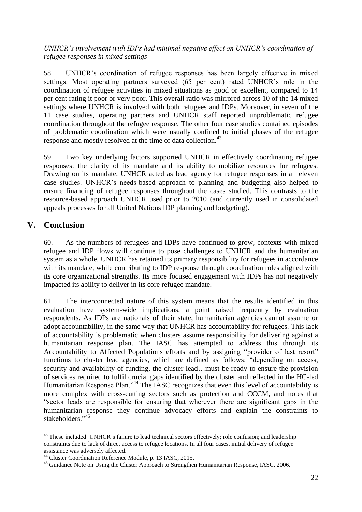### *UNHCR's involvement with IDPs had minimal negative effect on UNHCR's coordination of refugee responses in mixed settings*

58. UNHCR's coordination of refugee responses has been largely effective in mixed settings. Most operating partners surveyed (65 per cent) rated UNHCR's role in the coordination of refugee activities in mixed situations as good or excellent, compared to 14 per cent rating it poor or very poor. This overall ratio was mirrored across 10 of the 14 mixed settings where UNHCR is involved with both refugees and IDPs. Moreover, in seven of the 11 case studies, operating partners and UNHCR staff reported unproblematic refugee coordination throughout the refugee response. The other four case studies contained episodes of problematic coordination which were usually confined to initial phases of the refugee response and mostly resolved at the time of data collection.<sup>43</sup>

59. Two key underlying factors supported UNHCR in effectively coordinating refugee responses: the clarity of its mandate and its ability to mobilize resources for refugees. Drawing on its mandate, UNHCR acted as lead agency for refugee responses in all eleven case studies. UNHCR's needs-based approach to planning and budgeting also helped to ensure financing of refugee responses throughout the cases studied. This contrasts to the resource-based approach UNHCR used prior to 2010 (and currently used in consolidated appeals processes for all United Nations IDP planning and budgeting).

# **V. Conclusion**

1

60. As the numbers of refugees and IDPs have continued to grow, contexts with mixed refugee and IDP flows will continue to pose challenges to UNHCR and the humanitarian system as a whole. UNHCR has retained its primary responsibility for refugees in accordance with its mandate, while contributing to IDP response through coordination roles aligned with its core organizational strengths. Its more focused engagement with IDPs has not negatively impacted its ability to deliver in its core refugee mandate.

61. The interconnected nature of this system means that the results identified in this evaluation have system-wide implications, a point raised frequently by evaluation respondents. As IDPs are nationals of their state, humanitarian agencies cannot assume or adopt accountability, in the same way that UNHCR has accountability for refugees. This lack of accountability is problematic when clusters assume responsibility for delivering against a humanitarian response plan. The IASC has attempted to address this through its Accountability to Affected Populations efforts and by assigning "provider of last resort" functions to cluster lead agencies, which are defined as follows: "depending on access, security and availability of funding, the cluster lead…must be ready to ensure the provision of services required to fulfil crucial gaps identified by the cluster and reflected in the HC-led Humanitarian Response Plan."<sup>44</sup> The IASC recognizes that even this level of accountability is more complex with cross-cutting sectors such as protection and CCCM, and notes that "sector leads are responsible for ensuring that wherever there are significant gaps in the humanitarian response they continue advocacy efforts and explain the constraints to stakeholders."<sup>45</sup>

<sup>&</sup>lt;sup>43</sup> These included: UNHCR's failure to lead technical sectors effectively; role confusion; and leadership constraints due to lack of direct access to refugee locations. In all four cases, initial delivery of refugee assistance was adversely affected.

<sup>44</sup> Cluster Coordination Reference Module, p. 13 IASC, 2015.

<sup>&</sup>lt;sup>45</sup> Guidance Note on Using the Cluster Approach to Strengthen Humanitarian Response, IASC, 2006.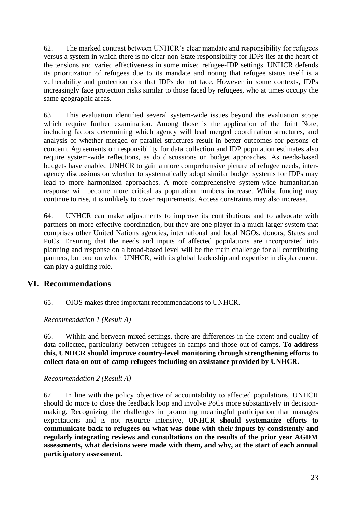62. The marked contrast between UNHCR's clear mandate and responsibility for refugees versus a system in which there is no clear non-State responsibility for IDPs lies at the heart of the tensions and varied effectiveness in some mixed refugee-IDP settings. UNHCR defends its prioritization of refugees due to its mandate and noting that refugee status itself is a vulnerability and protection risk that IDPs do not face. However in some contexts, IDPs increasingly face protection risks similar to those faced by refugees, who at times occupy the same geographic areas.

63. This evaluation identified several system-wide issues beyond the evaluation scope which require further examination. Among those is the application of the Joint Note, including factors determining which agency will lead merged coordination structures, and analysis of whether merged or parallel structures result in better outcomes for persons of concern. Agreements on responsibility for data collection and IDP population estimates also require system-wide reflections, as do discussions on budget approaches. As needs-based budgets have enabled UNHCR to gain a more comprehensive picture of refugee needs, interagency discussions on whether to systematically adopt similar budget systems for IDPs may lead to more harmonized approaches. A more comprehensive system-wide humanitarian response will become more critical as population numbers increase. Whilst funding may continue to rise, it is unlikely to cover requirements. Access constraints may also increase.

64. UNHCR can make adjustments to improve its contributions and to advocate with partners on more effective coordination, but they are one player in a much larger system that comprises other United Nations agencies, international and local NGOs, donors, States and PoCs. Ensuring that the needs and inputs of affected populations are incorporated into planning and response on a broad-based level will be the main challenge for all contributing partners, but one on which UNHCR, with its global leadership and expertise in displacement, can play a guiding role.

# **VI. Recommendations**

65. OIOS makes three important recommendations to UNHCR.

*Recommendation 1 (Result A)*

66. Within and between mixed settings, there are differences in the extent and quality of data collected, particularly between refugees in camps and those out of camps. **To address this, UNHCR should improve country-level monitoring through strengthening efforts to collect data on out-of-camp refugees including on assistance provided by UNHCR.**

### *Recommendation 2 (Result A)*

67. In line with the policy objective of accountability to affected populations, UNHCR should do more to close the feedback loop and involve PoCs more substantively in decisionmaking. Recognizing the challenges in promoting meaningful participation that manages expectations and is not resource intensive, **UNHCR should systematize efforts to communicate back to refugees on what was done with their inputs by consistently and regularly integrating reviews and consultations on the results of the prior year AGDM assessments, what decisions were made with them, and why, at the start of each annual participatory assessment.**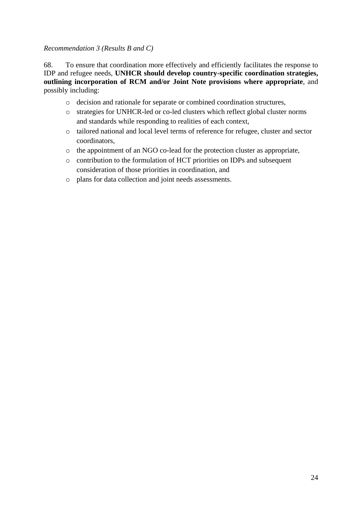### *Recommendation 3 (Results B and C)*

68. To ensure that coordination more effectively and efficiently facilitates the response to IDP and refugee needs, **UNHCR should develop country-specific coordination strategies, outlining incorporation of RCM and/or Joint Note provisions where appropriate**, and possibly including:

- o decision and rationale for separate or combined coordination structures,
- o strategies for UNHCR-led or co-led clusters which reflect global cluster norms and standards while responding to realities of each context,
- o tailored national and local level terms of reference for refugee, cluster and sector coordinators,
- o the appointment of an NGO co-lead for the protection cluster as appropriate,
- o contribution to the formulation of HCT priorities on IDPs and subsequent consideration of those priorities in coordination, and
- o plans for data collection and joint needs assessments.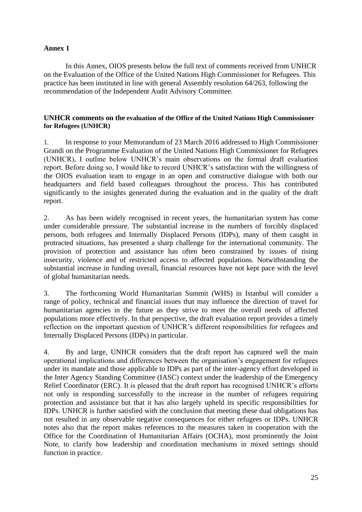#### **Annex 1**

In this Annex, OIOS presents below the full text of comments received from UNHCR on the Evaluation of the Office of the United Nations High Commissioner for Refugees. This practice has been instituted in line with general Assembly resolution 64/263, following the recommendation of the Independent Audit Advisory Committee.

#### **UNHCR comments on the evaluation of the Office of the United Nations High Commissioner for Refugees (UNHCR)**

1. In response to your Memorandum of 23 March 2016 addressed to High Commissioner Grandi on the Programme Evaluation of the United Nations High Commissioner for Refugees (UNHCR), I outline below UNHCR's main observations on the formal draft evaluation report. Before doing so, I would like to record UNHCR's satisfaction with the willingness of the OIOS evaluation team to engage in an open and constructive dialogue with both our headquarters and field based colleagues throughout the process. This has contributed significantly to the insights generated during the evaluation and in the quality of the draft report.

2. As has been widely recognised in recent years, the humanitarian system has come under considerable pressure. The substantial increase in the numbers of forcibly displaced persons, both refugees and Internally Displaced Persons (IDPs), many of them caught in protracted situations, has presented a sharp challenge for the international community. The provision of protection and assistance has often been constrained by issues of rising insecurity, violence and of restricted access to affected populations. Notwithstanding the substantial increase in funding overall, financial resources have not kept pace with the level of global humanitarian needs.

3. The forthcoming World Humanitarian Summit (WHS) in Istanbul will consider a range of policy, technical and financial issues that may influence the direction of travel for humanitarian agencies in the future as they strive to meet the overall needs of affected populations more effectively. In that perspective, the draft evaluation report provides a timely reflection on the important question of UNHCR's different responsibilities for refugees and Internally Displaced Persons (IDPs) in particular.

4. By and large, UNHCR considers that the draft report has captured well the main operational implications and differences between the organisation's engagement for refugees under its mandate and those applicable to IDPs as part of the inter-agency effort developed in the Inter Agency Standing Committee (IASC) context under the leadership of the Emergency Relief Coordinator (ERC). It is pleased that the draft report has recognised UNHCR's efforts not only in responding successfully to the increase in the number of refugees requiring protection and assistance but that it has also largely upheld its specific responsibilities for IDPs. UNHCR is further satisfied with the conclusion that meeting these dual obligations has not resulted in any observable negative consequences for either refugees or IDPs. UNHCR notes also that the report makes references to the measures taken in cooperation with the Office for the Coordination of Humanitarian Affairs (OCHA), most prominently the Joint Note, to clarify how leadership and coordination mechanisms in mixed settings should function in practice.